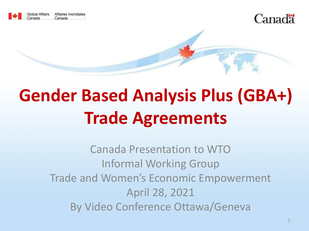



# **Gender Based Analysis Plus (GBA+) Trade Agreements**

Canada Presentation to WTO Informal Working Group Trade and Women's Economic Empowerment April 28, 2021 By Video Conference Ottawa/Geneva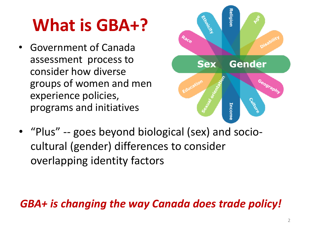# **What is GBA+?**

• Government of Canada assessment process to consider how diverse groups of women and men experience policies, programs and initiatives



• "Plus" -- goes beyond biological (sex) and sociocultural (gender) differences to consider overlapping identity factors

#### *GBA+ is changing the way Canada does trade policy!*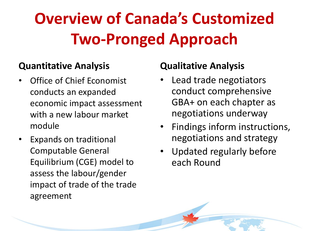## **Overview of Canada's Customized Two-Pronged Approach**

#### **Quantitative Analysis**

- Office of Chief Economist conducts an expanded economic impact assessment with a new labour market module
- Expands on traditional Computable General Equilibrium (CGE) model to assess the labour/gender impact of trade of the trade agreement

#### **Qualitative Analysis**

- Lead trade negotiators conduct comprehensive GBA+ on each chapter as negotiations underway
- Findings inform instructions, negotiations and strategy
- Updated regularly before each Round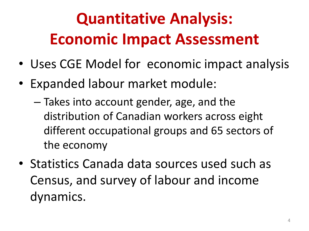## **Quantitative Analysis: Economic Impact Assessment**

- Uses CGE Model for economic impact analysis
- Expanded labour market module:
	- Takes into account gender, age, and the distribution of Canadian workers across eight different occupational groups and 65 sectors of the economy
- Statistics Canada data sources used such as Census, and survey of labour and income dynamics.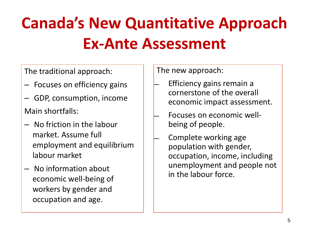## **Canada's New Quantitative Approach Ex-Ante Assessment**

The traditional approach:

- Focuses on efficiency gains
- GDP, consumption, income Main shortfalls:
- No friction in the labour market. Assume full employment and equilibrium labour market
- No information about economic well-being of workers by gender and occupation and age.

The new approach:

- ̶ Efficiency gains remain a cornerstone of the overall economic impact assessment.
- ̶ Focuses on economic wellbeing of people.
- ̶ Complete working age population with gender, occupation, income, including unemployment and people not in the labour force.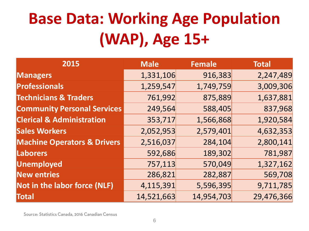## **Base Data: Working Age Population (WAP), Age 15+**

| 2015                                   | <b>Male</b> | <b>Female</b> | <b>Total</b> |
|----------------------------------------|-------------|---------------|--------------|
| <b>Managers</b>                        | 1,331,106   | 916,383       | 2,247,489    |
| <b>Professionals</b>                   | 1,259,547   | 1,749,759     | 3,009,306    |
| <b>Technicians &amp; Traders</b>       | 761,992     | 875,889       | 1,637,881    |
| <b>Community Personal Services</b>     | 249,564     | 588,405       | 837,968      |
| <b>Clerical &amp; Administration</b>   | 353,717     | 1,566,868     | 1,920,584    |
| <b>Sales Workers</b>                   | 2,052,953   | 2,579,401     | 4,632,353    |
| <b>Machine Operators &amp; Drivers</b> | 2,516,037   | 284,104       | 2,800,141    |
| <b>Laborers</b>                        | 592,686     | 189,302       | 781,987      |
| <b>Unemployed</b>                      | 757,113     | 570,049       | 1,327,162    |
| <b>New entries</b>                     | 286,821     | 282,887       | 569,708      |
| Not in the labor force (NLF)           | 4,115,391   | 5,596,395     | 9,711,785    |
| <b>Total</b>                           | 14,521,663  | 14,954,703    | 29,476,366   |

Source: Statistics Canada, 2016 Canadian Census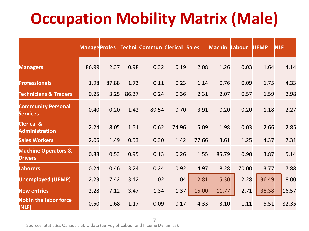### **Occupation Mobility Matrix (Male)**

|                                                  | <b>Manage Profes</b> |       |       | Techni Commun Clerical Sales |       |       | <b>Machin Labour</b> |       | <b>UEMP</b> | <b>NLF</b> |
|--------------------------------------------------|----------------------|-------|-------|------------------------------|-------|-------|----------------------|-------|-------------|------------|
| <b>Managers</b>                                  | 86.99                | 2.37  | 0.98  | 0.32                         | 0.19  | 2.08  | 1.26                 | 0.03  | 1.64        | 4.14       |
| <b>Professionals</b>                             | 1.98                 | 87.88 | 1.73  | 0.11                         | 0.23  | 1.14  | 0.76                 | 0.09  | 1.75        | 4.33       |
| <b>Technicians &amp; Traders</b>                 | 0.25                 | 3.25  | 86.37 | 0.24                         | 0.36  | 2.31  | 2.07                 | 0.57  | 1.59        | 2.98       |
| <b>Community Personal</b><br><b>Services</b>     | 0.40                 | 0.20  | 1.42  | 89.54                        | 0.70  | 3.91  | 0.20                 | 0.20  | 1.18        | 2.27       |
| <b>Clerical &amp;</b><br><b>Administration</b>   | 2.24                 | 8.05  | 1.51  | 0.62                         | 74.96 | 5.09  | 1.98                 | 0.03  | 2.66        | 2.85       |
| <b>Sales Workers</b>                             | 2.06                 | 1.49  | 0.53  | 0.30                         | 1.42  | 77.66 | 3.61                 | 1.25  | 4.37        | 7.31       |
| <b>Machine Operators &amp;</b><br><b>Drivers</b> | 0.88                 | 0.53  | 0.95  | 0.13                         | 0.26  | 1.55  | 85.79                | 0.90  | 3.87        | 5.14       |
| <b>Laborers</b>                                  | 0.24                 | 0.46  | 3.24  | 0.24                         | 0.92  | 4.97  | 8.28                 | 70.00 | 3.77        | 7.88       |
| <b>Unemployed (UEMP)</b>                         | 2.23                 | 7.42  | 3.42  | 1.02                         | 1.04  | 12.81 | 15.30                | 2.28  | 36.49       | 18.00      |
| <b>New entries</b>                               | 2.28                 | 7.12  | 3.47  | 1.34                         | 1.37  | 15.00 | 11.77                | 2.71  | 38.38       | 16.57      |
| Not in the labor force<br>(NLF)                  | 0.50                 | 1.68  | 1.17  | 0.09                         | 0.17  | 4.33  | 3.10                 | 1.11  | 5.51        | 82.35      |

7<br>Sources: Statistics Canada's SLID data (Survey of Labour and Income Dynamics).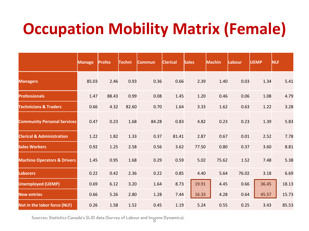### **Occupation Mobility Matrix (Female)**

|                                        | <b>Manage</b> | <b>Profes</b> | Techni | <b>Commun</b> | <b>Clerical</b> | <b>Sales</b> | <b>Machin</b> | <b>Labour</b> | <b>UEMP</b> | <b>NLF</b> |
|----------------------------------------|---------------|---------------|--------|---------------|-----------------|--------------|---------------|---------------|-------------|------------|
| <b>Managers</b>                        | 85.03         | 2.46          | 0.93   | 0.36          | 0.66            | 2.39         | 1.40          | 0.03          | 1.34        | 5.41       |
| <b>Professionals</b>                   | 1.47          | 88.43         | 0.99   | 0.08          | 1.45            | 1.20         | 0.46          | 0.06          | 1.08        | 4.79       |
| <b>Technicians &amp; Traders</b>       | 0.66          | 4.32          | 82.60  | 0.70          | 1.64            | 3.33         | 1.62          | 0.63          | 1.22        | 3.28       |
| <b>Community Personal Services</b>     | 0.47          | 0.23          | 1.68   | 84.28         | 0.83            | 4.82         | 0.23          | 0.23          | 1.39        | 5.83       |
| <b>Clerical &amp; Administration</b>   | 1.22          | 1.82          | 1.33   | 0.37          | 81.41           | 2.87         | 0.67          | 0.01          | 2.52        | 7.78       |
| <b>Sales Workers</b>                   | 0.92          | 1.25          | 2.58   | 0.56          | 3.62            | 77.50        | 0.80          | 0.37          | 3.60        | 8.81       |
| <b>Machine Operators &amp; Drivers</b> | 1.45          | 0.95          | 1.68   | 0.29          | 0.59            | 5.02         | 75.62         | 1.52          | 7.48        | 5.38       |
| <b>Laborers</b>                        | 0.22          | 0.42          | 2.36   | 0.22          | 0.85            | 4.40         | 5.64          | 76.02         | 3.18        | 6.69       |
| <b>Unemployed (UEMP)</b>               | 0.69          | 6.12          | 3.20   | 1.64          | 8.73            | 19.91        | 4.45          | 0.66          | 36.45       | 18.13      |
| <b>New entries</b>                     | 0.66          | 5.26          | 2.80   | 1.28          | 7.44            | 16.33        | 4.28          | 0.64          | 45.57       | 15.73      |
| Not in the labor force (NLF)           | 0.26          | 1.58          | 1.52   | 0.45          | 1.19            | 5.24         | 0.55          | 0.25          | 3.43        | 85.53      |

Sources: Statistics Canada's SLID data (Survey of Labour and Income Dynamics).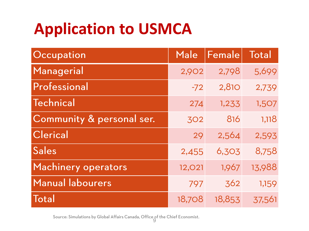### **Application to USMCA**

| Occupation                 | Male          | Female | Total  |
|----------------------------|---------------|--------|--------|
| Managerial                 | 2,902         | 2,798  | 5,699  |
| Professional               | $-72$         | 2,810  | 2,739  |
| Technical                  | 274           | 1,233  | 1,507  |
| Community & personal ser.  | 302           | 816    | 1,118  |
| Clerical                   | 29            | 2,564  | 2,593  |
| Sales                      | 2,455         | 6,303  | 8,758  |
| <b>Machinery operators</b> | <b>12,021</b> | 1,967  | 13,988 |
| <b>Manual labourers</b>    | 797           | 362    | 1,159  |
| <b>Total</b>               | 18,708        | 18,853 | 37,561 |

Source: Simulations by Global Affairs Canada, Office of the Chief Economist.<br>9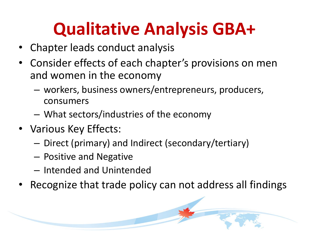## **Qualitative Analysis GBA+**

- Chapter leads conduct analysis
- Consider effects of each chapter's provisions on men and women in the economy
	- workers, business owners/entrepreneurs, producers, consumers
	- What sectors/industries of the economy
- Various Key Effects:
	- Direct (primary) and Indirect (secondary/tertiary)
	- Positive and Negative
	- Intended and Unintended
- Recognize that trade policy can not address all findings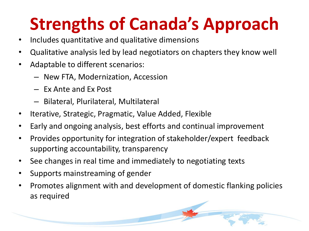# **Strengths of Canada's Approach**

- Includes quantitative and qualitative dimensions
- Qualitative analysis led by lead negotiators on chapters they know well
- Adaptable to different scenarios:
	- New FTA, Modernization, Accession
	- Ex Ante and Ex Post
	- Bilateral, Plurilateral, Multilateral
- Iterative, Strategic, Pragmatic, Value Added, Flexible
- Early and ongoing analysis, best efforts and continual improvement
- Provides opportunity for integration of stakeholder/expert feedback supporting accountability, transparency
- See changes in real time and immediately to negotiating texts
- Supports mainstreaming of gender
- Promotes alignment with and development of domestic flanking policies as required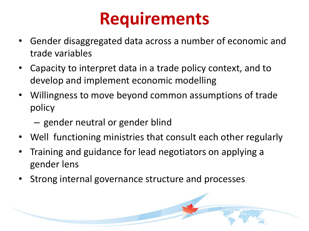## **Requirements**

- Gender disaggregated data across a number of economic and trade variables
- Capacity to interpret data in a trade policy context, and to develop and implement economic modelling
- Willingness to move beyond common assumptions of trade policy
	- gender neutral or gender blind
- Well functioning ministries that consult each other regularly
- Training and guidance for lead negotiators on applying a gender lens
- Strong internal governance structure and processes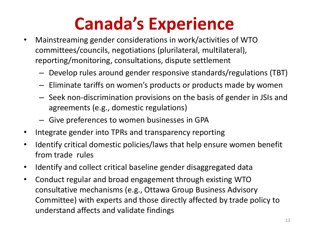# **Canada's Experience**

- Mainstreaming gender considerations in work/activities of WTO committees/councils, negotiations (plurilateral, multilateral), reporting/monitoring, consultations, dispute settlement
	- Develop rules around gender responsive standards/regulations (TBT)
	- Eliminate tariffs on women's products or products made by women
	- Seek non-discrimination provisions on the basis of gender in JSIs and agreements (e.g., domestic regulations)
	- Give preferences to women businesses in GPA
- Integrate gender into TPRs and transparency reporting
- Identify critical domestic policies/laws that help ensure women benefit from trade rules
- Identify and collect critical baseline gender disaggregated data
- Conduct regular and broad engagement through existing WTO consultative mechanisms (e.g., Ottawa Group Business Advisory Committee) with experts and those directly affected by trade policy to understand affects and validate findings